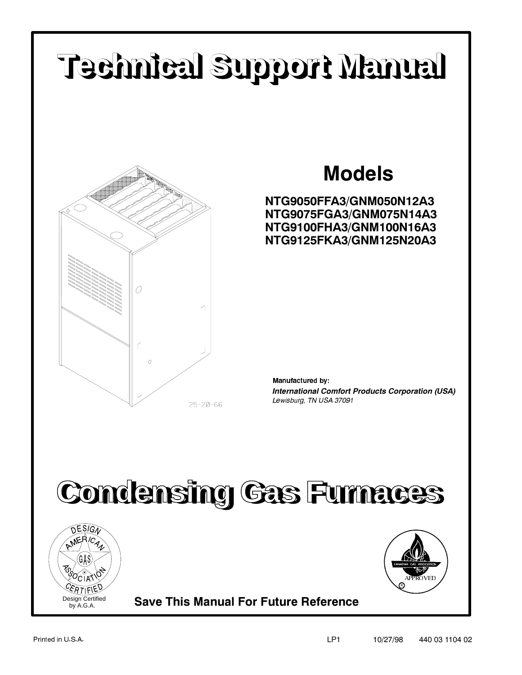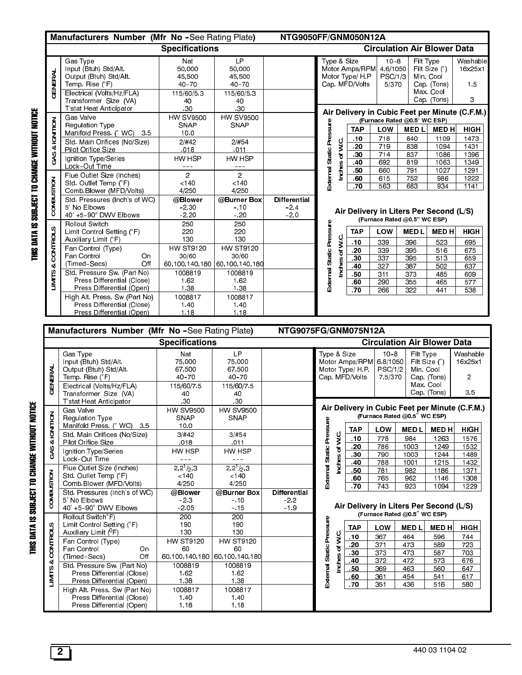| <b>Specifications</b><br><b>Circulation Air Blower Data</b><br>Gas Type<br>LP.<br>Nat<br>Type & Size<br>$10 - 8$<br>Input (Btuh) Std/Alt.<br>50.000<br>50.000<br>Motor Amps/RPM 4.6/1050                                        |                                                        |                            |
|---------------------------------------------------------------------------------------------------------------------------------------------------------------------------------------------------------------------------------|--------------------------------------------------------|----------------------------|
|                                                                                                                                                                                                                                 |                                                        |                            |
| GENERAL<br>Output (Btuh) Std/Alt<br>45.500<br>45.500<br>Motor Type/ H.P<br><b>PSC/1/3</b><br>$40 - 70$<br>Cap. MFD/Volts<br>Temp Rise (°F)<br>$40 - 70$<br>5/370                                                                | Filt Type<br>Filt Size (")<br>Min. Cool<br>Cap. (Tons) | Washable<br>16x25x1<br>1.5 |
| Electrical (Volts/Hz/FLA)<br>115/60/5.3<br>115/60/53<br>Transformer Size (VA)<br>40<br>40<br>30<br>.30<br>T'stat Heat Anticipator<br>Air Delivery in Cubic Feet per Minute (C.F.M.)                                             | Max. Cool<br>Cap (Tons)                                | 3                          |
| Gas Valve<br><b>HW SV9500</b><br><b>HW SV9500</b><br>(Furnace Rated @0.5" WC ESP)                                                                                                                                               |                                                        |                            |
| & IGNITION<br>Regulation Type<br><b>SNAP</b><br><b>SNAP</b><br>TAP<br><b>LOW</b><br>Manifold Press ("WC) 35<br>10.0                                                                                                             | <b>MEDL</b><br><b>MEDH</b>                             | <b>HIGH</b>                |
| 718<br>10<br>Std. Main Orifices (No/Size)<br>2/#42<br>2/#54<br>-20<br>719<br>838                                                                                                                                                | 840<br>1109<br>1094                                    | 1473<br>1431               |
| of W.C.<br>.011<br>Pilot Orifice Size<br>018<br>714<br>837<br>-30                                                                                                                                                               | 1086                                                   | 1396                       |
| GAS.<br>Ignition Type/Series<br>HW HSP<br>HW HSP<br>.40<br>692<br>Lock-Out Time<br>$---$<br>$- - -$                                                                                                                             | 819<br>1063                                            | 1349                       |
| External Static Pressure<br>Inches<br>660<br>791<br>50<br>$\overline{a}$<br>$\overline{c}$<br>Flue Outlet Size (Inches)<br>615<br>60                                                                                            | 1027<br>752<br>986                                     | 1291<br>1222               |
| Std. Outlet Temp (°F)<br>< 140<br>< 140<br>70<br>563<br>Comb.Blower (MFD/Volts)<br>4/250<br>4/250                                                                                                                               | 683<br>934                                             | 1141                       |
| Std. Pressures (Inch's of WC)<br>@Blower<br>@Burner Box<br>Differential                                                                                                                                                         |                                                        |                            |
| COMBUSTION<br>5' No Elbows<br>$-2.30$<br>$-.10$<br>$-2.4$<br>Air Delivery in Liters Per Second (L/S)<br>40' +5-90° DWV Elbows<br>$-20$<br>$-2.20$<br>$-2.0$<br>(Furnace Rated @0.5" WC ESP)<br>250<br>250<br>Rollout Switch     |                                                        |                            |
| <b>TAP</b><br>220<br>LOW<br>Limit Control Setting (°F)<br>220                                                                                                                                                                   | <b>MEDL</b><br><b>MEDH</b>                             | <b>HIGH</b>                |
| External Static Pressure<br>& CONTROLS<br>ن<br>لا<br>130<br>130<br>Auxiliary Limit (°F)<br>339<br>396<br>.10                                                                                                                    | 523                                                    | 695                        |
| <b>HW ST9120</b><br><b>HW ST9120</b><br>Fan Control (Type)<br>339<br>395<br>.20<br>$\overline{\sigma}$<br>Fan Control<br>30/60<br>30/60<br>On<br>$\overline{337}$<br>395<br>-30                                                 | 516<br>513                                             | 675<br>659                 |
| Inches<br>(Timed-Secs)<br>Off<br>60,100,140,180 60,100,140,180<br>.40<br>327<br>387                                                                                                                                             | 502                                                    | 637                        |
| <b>LIMITS</b><br>Std. Pressure Sw. (Part No)<br>1008819<br>1008819<br>311<br>373<br>50<br>1.62<br>1.62<br>Press Differential (Close)                                                                                            | 485                                                    | 609                        |
| 290<br>355<br>-60<br>1.38<br>Press Differential (Open)<br>1.38<br>70<br>266<br>322                                                                                                                                              | 465<br>441                                             | 577<br>538                 |
|                                                                                                                                                                                                                                 |                                                        |                            |
| High Alt. Press. Sw (Part No)<br>1008817<br>1008817                                                                                                                                                                             |                                                        |                            |
| 1.40<br>1.40<br>Press Differential (Close)<br>1.18<br>Press Differential (Open)<br>1.18                                                                                                                                         |                                                        |                            |
|                                                                                                                                                                                                                                 |                                                        |                            |
| Manufacturers Number (Mfr No -See Rating Plate)<br>NTG9075FG/GNM075N12A                                                                                                                                                         |                                                        |                            |
| <b>Specifications</b>                                                                                                                                                                                                           | <b>Circulation Air Blower Data</b>                     |                            |
| <b>LP</b><br>Gas Type<br>Nat<br>Type & Size<br>$10 - 8$<br>Input (Btuh) Std/Alt.<br>75.000<br>75.000<br>Motor Amps/RPM 6.8/1050<br>Output (Btuh) Std/Alt.<br>67.500<br>Motor Type/ H.P.<br>67 500<br>PSC/1/2                    | Filt Type<br>Filt Size (")<br>Min. Cool                | Washable<br>16x25x1        |
| $40 - 70$<br>$40 - 70$<br>Cap MFD/Volts<br>Temp Rise (°F)<br>75/370<br>Electrical (Volts/Hz/FLA)<br>115/60/7 5<br>115/60/7 5                                                                                                    | Cap (Tons)<br>Max Cool                                 | $\overline{c}$             |
| <b>GENERAL</b><br>40<br>Transformer Size (VA)<br>40                                                                                                                                                                             | Cap (Tons)                                             | 3.5                        |
| .30<br>30<br>T'stat Heat Anticipator<br>Air Delivery in Cubic Feet per Minute (C.F.M.)<br><b>HW SV9500</b><br><b>HW SV9500</b><br>Gas Valve<br>(Furnace Rated @0.5 $^{\prime\prime}$ WC ESP)<br>Regulation Type<br>SNAP<br>SNAP |                                                        |                            |
| Manifold Press. ("WC)<br>10.0<br>3.5<br><b>TAP</b><br>LOW                                                                                                                                                                       | <b>MEDL</b><br><b>MEDH</b>                             | <b>HIGH</b>                |
| Std. Main Orifices (No/Size)<br>3/#42<br>3/#54<br>.10<br>778<br>984                                                                                                                                                             | 1263                                                   | 1576                       |
| & IGNITION<br>018<br>Pilot Orifice Size<br>011<br>.20<br>786<br>1003<br>Ignition Type/Series<br>HW HSP<br>HW HSP                                                                                                                | 1249                                                   | 1532                       |
| GAS<br>-30<br>790<br>1003<br>Lock-Out Time<br>$\frac{1}{2}$<br>$\frac{1}{2}$<br>.40<br>788<br>1001                                                                                                                              | 1244<br>1215                                           | 1489<br>1432               |
| Inches of W.C.<br>$2,2^{1}/2,3$<br>$2,2^{1}/2,3$<br>Flue Outlet Size (Inches)<br>.50<br>781<br>982<br>Std. Outlet Temp (°F)<br>< 140<br>< 140                                                                                   | 1186                                                   | 1371                       |
| External Static Pressure<br>765<br>.60<br>962<br>4/250<br>Comb Blower (MFD/Volts)<br>4/250<br>743<br>923<br>-70                                                                                                                 | 1146<br>1094                                           | 1308<br>1229               |
| Std. Pressures (Inch's of WC)<br>@Blower<br>@Burner Box<br><b>Differential</b>                                                                                                                                                  |                                                        |                            |
| COMBUSTION<br>5' No Elbows<br>$-2.3$<br>$-.10$<br>$-2.2$<br>Air Delivery in Liters Per Second (L/S)<br>40' +5-90° DWV Elbows<br>$-2.05$<br>$-1.9$<br>$-.15$                                                                     |                                                        |                            |
| (Furnace Rated @0.5" WC ESP)<br>Rollout Switch°F)<br>200<br>200                                                                                                                                                                 |                                                        |                            |
| Limit Control Setting (°F)<br>190<br>190<br><b>TAP</b><br>LOW<br><b>MEDL</b><br>Auxiliary Limit ( <sup>O</sup> F)<br>130<br>130                                                                                                 | <b>MEDH</b>                                            | HIGH                       |
| 367<br>.10<br>464<br>Fan Control (Type)<br><b>HW ST9120</b><br><b>HW ST9120</b><br>.20<br>473<br>371                                                                                                                            | 596<br>589                                             | 744<br>723                 |
| <b>CONTROLS</b><br>Fan Control<br>60<br>60<br>On<br>30<br>373<br>473<br>Off<br>60,100,140,180 60,100,140,180                                                                                                                    | 587                                                    | 703                        |
| (Timed-Secs)<br>40<br>372<br>472<br>ంర<br>Std. Pressure Sw. (Part No)<br>1008819<br>1008819                                                                                                                                     | 573                                                    | 676                        |
| Inches of W.C.<br>50<br>463<br>369<br>Press Differential (Close)<br>1.62<br>1.62<br>454<br>361<br>.60                                                                                                                           | 560<br>541                                             | 647<br>617                 |
| External Static Pressure<br>LIMITS<br>1.38<br>Press Differential (Open)<br>1.38<br>-70<br>351<br>436<br>High Alt. Press. Sw (Part No)<br>1008817<br>1008817<br>Press Differential (Close)<br>1.40<br>1.40                       | 516                                                    | 580                        |

 $\boxed{2}$ 

THIS DATA IS SUBJECT TO CHANGE WITHOUT NOTICE

THIS DATA IS SUBJECT TO CHANGE WITHOUT NOTICE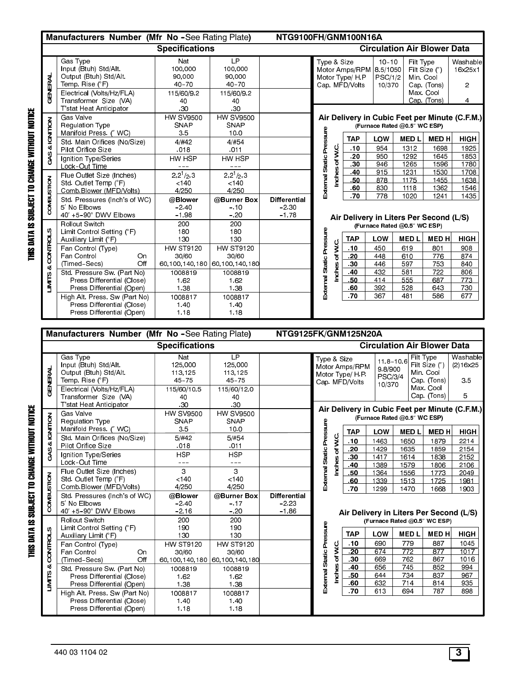| <b>Manufacturers Number (Mfr No -See Hating Plate)</b><br>NIG9100FH/GNM100N16A<br><b>Circulation Air Blower Data</b> |                                                                                                                                      |                                                                    |                                                                                  |                                           |                                            |                                                     |                                                      |                                                                         |                                                                                  |                                                                |
|----------------------------------------------------------------------------------------------------------------------|--------------------------------------------------------------------------------------------------------------------------------------|--------------------------------------------------------------------|----------------------------------------------------------------------------------|-------------------------------------------|--------------------------------------------|-----------------------------------------------------|------------------------------------------------------|-------------------------------------------------------------------------|----------------------------------------------------------------------------------|----------------------------------------------------------------|
|                                                                                                                      |                                                                                                                                      | <b>Specifications</b>                                              |                                                                                  |                                           |                                            |                                                     |                                                      |                                                                         |                                                                                  |                                                                |
| GENERAL                                                                                                              | Gas Type<br>Input (Btuh) Std/Alt.<br>Output (Btuh) Std/Alt.<br>Temp. Rise (°F)                                                       | Nat<br>100,000<br>90.000<br>$40 - 70$                              | LP<br>100,000<br>90,000<br>$40 - 70$                                             |                                           | Type & Size                                | Motor Amps/RPM<br>Motor Type/ H.P<br>Cap MFD/Volts  | $10 - 10$<br>8.5/1050<br>PSC/1/2<br>10/370           | Filt Type<br>Min. Cool                                                  | Filt Size (")<br>Cap (Tons)<br>Max Cool                                          | Washable<br>16x25x1<br>$\overline{2}$                          |
|                                                                                                                      | Electrical (Volts/Hz/FLA)<br>Transformer Size (VA)<br>T'stat Heat Anticipator                                                        | 115/60/9.2<br>40<br>30                                             | 115/60/9.2<br>40<br>30                                                           |                                           |                                            |                                                     |                                                      |                                                                         | Cap (Tons)                                                                       | 4                                                              |
| & IGNITION                                                                                                           | Gas Valve<br>Regulation Type<br>Manifold Press. ("WC)                                                                                | <b>HW SV9500</b><br><b>SNAP</b><br>3.5                             | <b>HW SV9500</b><br><b>SNAP</b><br>10.0                                          |                                           |                                            | <b>TAP</b>                                          | LOW                                                  | (Furnace Rated @0.5" WC ESP)<br><b>MEDL</b>                             | <b>MEDH</b>                                                                      | Air Delivery in Cubic Feet per Minute (C.F.M.)<br><b>HIGH</b>  |
| GAS                                                                                                                  | Std. Main Orifices (No/Size)<br>Pilot Orifice Size                                                                                   | 4/#42<br>018                                                       | 4/#54<br>.011                                                                    |                                           |                                            | 10<br>.20                                           | 954<br>950                                           | 1312<br>1292                                                            | 1698<br>1645                                                                     | 1925<br>1853                                                   |
|                                                                                                                      | Ignition Type/Series<br>Lock-Out Time<br>Flue Outlet Size (Inches)                                                                   | HW HSP<br>$---$<br>$2,2^{1}/_{2},3$                                | HW HSP<br>$ -$<br>$2.2^{1}/2.3$                                                  |                                           | Inches of W.C.                             | 30<br>40                                            | 946<br>915                                           | 1265<br>1231                                                            | 1596<br>1530                                                                     | 1780<br>1708                                                   |
|                                                                                                                      | Std. Outlet Temp (°F)<br>Comb Blower (MFD/Volts)                                                                                     | < 140<br>4/250                                                     | < 140<br>4/250                                                                   |                                           | External Static Pressure                   | 50<br>60                                            | 878<br>830                                           | 1175<br>1118                                                            | 1455<br>1362                                                                     | 1638<br>1546                                                   |
| COMBUSTION                                                                                                           | Std. Pressures (Inch's of WC)<br>5' No Elbows<br>40' +5-90° DWV Elbows                                                               | @Blower<br>$-2.40$<br>$-1.98$                                      | @Burner Box<br>$-.10$<br>$-.20$                                                  | <b>Differential</b><br>$-2.30$<br>$-1.78$ |                                            | -70                                                 | 778                                                  | 1020                                                                    | 1241                                                                             | 1435                                                           |
|                                                                                                                      | Rollout Switch<br>Limit Control Setting (°F)                                                                                         | 200<br>180                                                         | 200<br>180                                                                       |                                           |                                            |                                                     |                                                      | Air Delivery in Liters Per Second (L/S)<br>(Furnace Rated @0.5" WC ESP) |                                                                                  |                                                                |
| <b>CONTROLS</b>                                                                                                      | Auxiliary Limit (°F)<br>Fan Control (Type)                                                                                           | 130<br><b>HW ST9120</b>                                            | 130<br><b>HW ST9120</b>                                                          |                                           |                                            | <b>TAP</b><br>10                                    | LOW<br>450                                           | <b>MEDL</b><br>619                                                      | <b>MEDH</b><br>801                                                               | <b>HIGH</b><br>908                                             |
| $\infty$                                                                                                             | Fan Control<br>On<br>(Timed-Secs)<br>Off                                                                                             | 30/60<br>60,100,140,180 60,100,140,180                             | 30/60                                                                            |                                           | nches of W.C.                              | .20<br>-30                                          | 448<br>446<br>432                                    | 610<br>597                                                              | 776<br>753<br>722                                                                | 874<br>840                                                     |
| LIMITS                                                                                                               | Std. Pressure Sw. (Part No)<br>Press Differential (Close)<br>Press Differential (Open)                                               | 1008819<br>1.62<br>1.38                                            | 1008819<br>1.62<br>1.38                                                          |                                           | External Static Pressure                   | 40<br>50<br>60                                      | 414<br>392                                           | 581<br>555<br>528                                                       | 687<br>643                                                                       | 806<br>773<br>730                                              |
|                                                                                                                      | High Alt. Press. Sw (Part No)<br>Press Differential (Close)<br>Press Differential (Open)                                             | 1008817<br>1.40<br>1.18                                            | 1008817<br>1.40<br>1.18                                                          |                                           |                                            | .70                                                 | 367                                                  | 481                                                                     | 586                                                                              | 677                                                            |
|                                                                                                                      |                                                                                                                                      |                                                                    |                                                                                  |                                           |                                            |                                                     |                                                      |                                                                         |                                                                                  |                                                                |
|                                                                                                                      | Manufacturers Number (Mfr No -See Rating Plate)<br>NTG9125FK/GNM125N20A                                                              |                                                                    |                                                                                  |                                           |                                            |                                                     |                                                      |                                                                         |                                                                                  |                                                                |
|                                                                                                                      |                                                                                                                                      |                                                                    |                                                                                  |                                           |                                            |                                                     |                                                      |                                                                         |                                                                                  |                                                                |
|                                                                                                                      |                                                                                                                                      | <b>Specifications</b>                                              |                                                                                  |                                           |                                            |                                                     |                                                      | <b>Circulation Air Blower Data</b>                                      |                                                                                  |                                                                |
| GENERAL                                                                                                              | Gas Type<br>Input (Btuh) Std/Alt.<br>Output (Btuh) Std/Alt.<br>Temp. Rise (°F)<br>Electrical (Volts/Hz/FLA)<br>Transformer Size (VA) | <b>Nat</b><br>125,000<br>113.125<br>$45 - 75$<br>115/60/10.5<br>40 | $\overline{\mathsf{LP}}$<br>125,000<br>113,125<br>$45 - 75$<br>115/60/12.0<br>40 |                                           | Type & Size                                | Motor Amps/RPM<br>Motor Type/ H P<br>Cap. MFD/Volts | $11.8 - 10.6$<br>9.8/900<br><b>PSC/3/4</b><br>10/370 |                                                                         | Filt Type<br>Filt Size (")<br>Min. Cool<br>Cap. (Tons)<br>Max Cool<br>Cap (Tons) | Washable<br>(2)16x25<br>35<br>5                                |
| z                                                                                                                    | T'stat Heat Anticipator<br>Gas Valve                                                                                                 | 30<br><b>HW SV9500</b>                                             | 30<br><b>HW SV9500</b>                                                           |                                           |                                            |                                                     |                                                      |                                                                         |                                                                                  |                                                                |
|                                                                                                                      | Regulation Type<br>Manifold Press. ("WC)                                                                                             | <b>SNAP</b><br>3.5                                                 | <b>SNAP</b><br>10.0                                                              |                                           |                                            | <b>TAP</b>                                          | <b>LOW</b>                                           | (Furnace Rated @0.5″ WC ESP)<br><b>MEDL</b>                             | <b>MEDH</b>                                                                      | <b>HIGH</b>                                                    |
| & IGNITIO                                                                                                            | Std. Main Orifices (No/Size)<br>Pilot Orifice Size                                                                                   | 5/#42<br>018<br><b>HSP</b>                                         | 5/#54<br>011<br><b>HSP</b>                                                       |                                           |                                            | 10<br>.20                                           | 1463<br>1429                                         | 1650<br>1635                                                            | 1879<br>1859                                                                     | Air Delivery in Cubic Feet per Minute (C.F.M.)<br>2214<br>2154 |
| GAS                                                                                                                  | Ignition Type/Series<br>Lock-Out Time<br>Flue Outlet Size (Inches)                                                                   | $---$<br>$\overline{3}$                                            | $\perp$ $\perp$ $\perp$<br>$\overline{\mathbf{3}}$                               |                                           | Inches of W.C.                             | .30<br>40<br>.50                                    | 1417<br>1389<br>1364                                 | 1614<br>1579<br>1556                                                    | 1838<br>1806<br>1773                                                             | 2152<br>2106<br>2049                                           |
|                                                                                                                      | Std. Outlet Temp (°F)<br>Comb Blower (MFD/Volts)                                                                                     | < 140<br>4/250                                                     | < 140<br>4/250                                                                   |                                           | External Static Pressure                   | 60<br>-70                                           | 1339<br>1299                                         | 1513<br>1470                                                            | 1725<br>1668                                                                     | 1981<br>1903                                                   |
| COMBUSTION                                                                                                           | Std. Pressures (Inch's of WC)<br>5' No Elbows<br>40' +5-90° DWV Elbows                                                               | @Blower<br>$-2.40$<br>$-2.16$                                      | @Burner Box<br>$-17$<br>$-.20$                                                   | <b>Differential</b><br>$-2.23$<br>$-1.86$ |                                            |                                                     |                                                      |                                                                         |                                                                                  |                                                                |
|                                                                                                                      | Rollout Switch<br>Limit Control Setting (°F)                                                                                         | 200<br>190                                                         | 200<br>190                                                                       |                                           |                                            |                                                     |                                                      | Air Delivery in Liters Per Second (L/S)<br>(Furnace Rated @0.5" WC ESP) |                                                                                  |                                                                |
|                                                                                                                      | Auxiliary Limit (°F)<br>Fan Control (Type)<br>Fan Control<br>On<br>Off                                                               | 130<br><b>HW ST9120</b><br>30/60                                   | 130<br><b>HW ST9120</b><br>30/60                                                 |                                           |                                            | <b>TAP</b><br>-10<br>20<br>.30                      | LOW<br>690<br>674<br>669                             | <b>MEDL</b><br>779<br>772<br>762                                        | <b>MEDH</b><br>887<br>877<br>867                                                 | HIGH<br>1045<br>1017<br>1016                                   |
| <b>CONTROLS</b><br>οð<br><b>LIMITS</b>                                                                               | (Timed-Secs)<br>Std. Pressure Sw. (Part No)<br>Press Differential (Close)<br>Press Differential (Open)                               | 60 100 140 180 60 100 140 180<br>1008819<br>1.62<br>1.38           | 1008819<br>1.62<br>1.38                                                          |                                           | External Static Pressure<br>Inches of W.C. | 40<br>50<br>.60                                     | 656<br>644<br>632                                    | 745<br>734<br>714                                                       | 852<br>837<br>814                                                                | 994<br>967<br>935                                              |

THIS DATA IS SUBJECT TO CHANGE WITHOUT NOTICE

Г

THIS DATA IS SUBJECT TO CHANGE WITHOUT NOTICE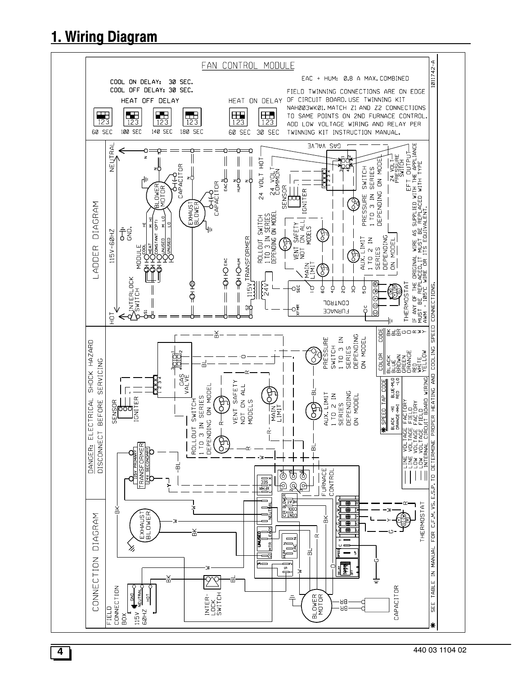## 1. Wiring Diagram

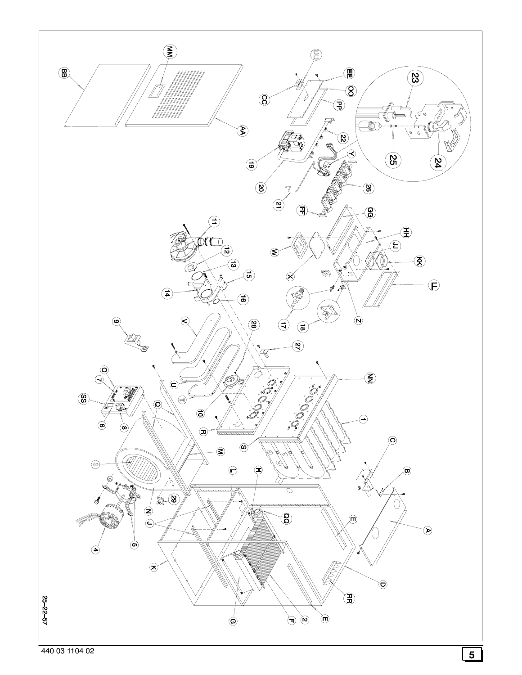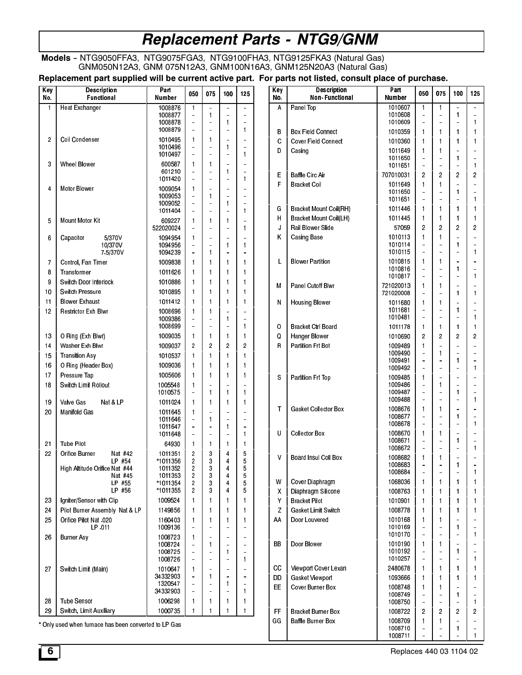## **Replacement Parts - NTG9/GNM**

Models - NTG9050FFA3, NTG9075FGA3, NTG9100FHA3, NTG9125FKA3 (Natural Gas) GNM050N12A3, GNM 075N12A3, GNM100N16A3, GNM125N20A3 (Natural Gas)

Replacement part supplied will be current active part. For parts not listed, consult place of purchase. **Description** Part Key **Description** Part Key 050 075 100 125 050 075 100 125 No. **Functional Number** No. **Non-Functional Number** 1010607  $\mathbf{1}$ **Heat Exchanger** 1008876 A Panel Top  $\mathbf{1}$  $\mathbf{1}$ 1010608 1008877  $\overline{1}$  $\mathbf{1}$ Ĭ.  $\overline{\phantom{a}}$  $\mathbf{1}$ 1010609 1008878  $\mathbf{1}$  $\ddot{\phantom{a}}$  $\ddot{\phantom{a}}$  $\sim$  $\overline{a}$  $\overline{1}$ 1008879  $\mathbf{r}$  $\overline{a}$  $\overline{a}$  $\overline{B}$ **Box Field Connect** 1010359  $\overline{1}$  $\mathbf{1}$  $\mathbf{1}$  $\overline{1}$  $\overline{c}$ Coil Condenser 1010495  $\mathbf{1}$  $\mathbf{1}$  $\mathbf{C}$ **Cover Field Connect** 1010360  $\mathbf{1}$  $\overline{1}$  $\overline{1}$  $\mathbf{1}$ 1010496  $\overline{1}$  $\ddot{\phantom{1}}$  $\overline{a}$ D Casing 1011649  $\overline{1}$  $\mathbf{1}$  $\overline{1}$ 1010497  $\overline{a}$ 1011650  $\mathbf{1}$  $\ddot{\phantom{a}}$  $\overline{a}$ 600587 3 Wheel Blower  $\mathbf{1}$  $\mathbf{1}$ 1011651  $\overline{a}$  $\mathbf{1}$  $\ddot{\phantom{a}}$ 601210  $\overline{a}$  $\overline{1}$  $\overline{a}$  $\overline{2}$ **Baffle Circ Air**  $\mathsf E$ 707010031  $\overline{2}$  $\sqrt{2}$  $\overline{2}$  $\mathbf{1}$ 1011420  $\frac{1}{2}$ j. F **Bracket Coil** 1011649  $\mathbf{1}$  $\mathbf{1}$  $\overline{a}$ 1009054  $\overline{4}$ Motor Blower  $\mathbf{1}$ ÷ Ĭ. 1011650  $\overline{1}$  $\overline{\phantom{a}}$  $\ddot{\phantom{1}}$ 1009053  $\overline{1}$  $\ddot{\phantom{1}}$  $\mathbf{1}$  $\overline{a}$ 1011651  $\ddot{\phantom{a}}$ 1009052  $\mathbf{1}$  $\sim$  $\frac{1}{\sqrt{2}}$ ÷,  $\overline{\mathbf{1}}$ G **Bracket Mount Coil(RH)**  $\overline{1}$  $\overline{1}$ 1011446  $\mathbf{1}$  $\blacksquare$ 1011404  $\overline{a}$ J.  $H$ **Bracket Mount Coil(LH)** 1011445  $\overline{1}$  $\mathbf{1}$  $\mathbf{1}$  $\overline{1}$ Mount Motor Kit 609227  $\mathbf{1}$ 5  $\mathbf{1}$  $\mathbf{1}$ Rail Blower Slide  $\overline{2}$  $\boldsymbol{2}$ 522020024  $\mathbf{1}$ J  $\overline{2}$  $\overline{c}$ 57059  $\ddot{\phantom{a}}$ j. Κ Casing Base 1010113 1094954  $\ddot{\phantom{0}}$  $\mathbf{1}$  $\boldsymbol{6}$ Capacitor 5/370V  $\mathbf{1}$  $\overline{1}$  $\overline{a}$ 10/370V 1094956  $\mathbf{1}$  $\mathbf{1}$ 1010114  $\frac{1}{\pi}$  $\vert$ 7 5/370V 1094239  $\overline{1}$ 1010115  $\mathbf{r}$  $\mathbf{1}$  $\overline{a}$ 1009838  $\mathbf{1}$  $\mathbf{1}$ L **Blower Partition** 1010815  $\overline{1}$  $\mathbf{1}$  $\overline{a}$ Control, Fan Timer  $\blacksquare$ 7  $\mathbf{1}$ 1010816  $\mathbf{1}$  $\overline{\phantom{a}}$  $\sim$  $\overline{a}$  $\boldsymbol{8}$ Transformer 1011626  $\mathbf{1}$  $\mathbf{1}$  $\mathbf{1}$  $\overline{1}$ 1010817  $\mathbf{1}$  $\mathbb{Z}$ j. 9 Switch Door Interlock 1010886  $\mathbf{1}$  $\mathbf{1}$  $\mathbf{1}$  $\mathbf{1}$  $\overline{1}$ V Panel Cutoff Blwr 721020013  $\mathbf{1}$  $10$ Switch Pressure 1010895  $\mathbf{1}$  $\mathbf{1}$  $\mathbf{1}$  $\mathbf{1}$  $\mathbf{1}$ 721020008  $\overline{\phantom{a}}$  $\mathbf{1}$  $\overline{a}$  $11$ **Blower Exhaust** 1011412  $\mathbf{1}$  $\overline{1}$  $\mathbf{1}$ 1011680  $\overline{\mathbf{1}}$ N. **Housing Blower**  $\overline{1}$  $\overline{a}$  $\overline{1}$ **Restrictor Exh Blwr** 1008696 1011681  $12$  $\mathbf{1}$  $\overline{1}$  $\mathbf{1}$  $\boldsymbol{2}$  $\boldsymbol{2}$  $\frac{1}{\sqrt{2}}$  $\overline{a}$ Ĭ.  $\overline{1}$  $\mathbf{1}$  $\overline{a}$ 

|    |                                                       | 1009386             |                                  | ÷,             |                     |        |                |                             | 1010481            |                |                |
|----|-------------------------------------------------------|---------------------|----------------------------------|----------------|---------------------|--------|----------------|-----------------------------|--------------------|----------------|----------------|
|    |                                                       | 1008699             |                                  |                |                     |        | 0              | <b>Bracket Ctrl Board</b>   | 1011178            | 1              |                |
| 13 | O Ring (Exh Blwr)                                     | 1009035             | $\mathbf{1}$                     | $\mathbf{1}$   | 1                   | 1      | Q              | <b>Hanger Blower</b>        | 1010690            | $\overline{c}$ | $\overline{c}$ |
| 14 | Washer Exh Blwr                                       | 1009037             | $\overline{2}$                   | $\overline{c}$ | $\overline{c}$      | 2      | R              | <b>Partition Frt Bot</b>    | 1009489            | 1              |                |
| 15 | <b>Transition Asy</b>                                 | 1010537             | $\mathbf{1}$                     |                | 1                   |        |                |                             | 1009490<br>1009491 |                | 1              |
| 16 | O Ring (Header Box)                                   | 1009036             | $\mathbf{1}$                     | 1              | 1                   | 1      |                |                             | 1009492            |                |                |
| 17 | Pressure Tap                                          | 1005606             | $\mathbf{1}$                     | 1              | 1                   | 1      | S              | <b>Partition Frt Top</b>    | 1009485            | 1              |                |
| 18 | Switch Limit Rollout                                  | 1005548             |                                  |                |                     |        |                |                             | 1009486            | u,             | 1              |
|    |                                                       | 1010575             |                                  | $\mathbf{1}$   | $\mathbf{1}$        | 1      |                |                             | 1009487            |                |                |
| 19 | Valve Gas<br>Nat & LP                                 | 1011024             |                                  | $\mathbf{1}$   | $\mathbf{1}$        | 1      | т              | <b>Gasket Collector Box</b> | 1009488<br>1008676 | $\equiv$<br>1  | 1              |
| 20 | <b>Manifold Gas</b>                                   | 1011645             |                                  |                |                     |        |                |                             | 1008677            |                |                |
|    |                                                       | 1011646<br>1011647  |                                  |                | 1                   |        |                |                             | 1008678            |                |                |
|    |                                                       | 1011648             |                                  | L.             |                     |        | $\mathbf{U}$   | <b>Collector Box</b>        | 1008670            | 1              | 1              |
| 21 | <b>Tube Pilot</b>                                     | 64930               | $\mathbf{1}$                     | $\mathbf{1}$   | 1                   |        |                |                             | 1008671            |                |                |
| 22 | Orifice Burner<br>Nat #42                             | 1011351             | $\overline{c}$                   | 3              | 4                   | 5      |                |                             | 1008672            |                |                |
|    | LP #54                                                | *1011356            | $\overline{c}$                   | 3              | $\overline{4}$      | 5      | $\mathsf{V}$   | <b>Board Insul Coll Box</b> | 1008682<br>1008683 | 1              | 1              |
|    | High Altitude Orifice Nat #44                         | 1011352             | $\overline{2}$                   | 3<br>3         | 4                   | 5      |                |                             | 1008684            |                |                |
|    | Nat #45<br>LP #55                                     | 1011353<br>*1011354 | $\overline{c}$<br>$\overline{2}$ | 3              | 4<br>$\overline{4}$ | 5<br>5 | W              | Cover Diaphragm             | 1068036            | 1              |                |
|    | LP #56                                                | *1011355            | $\overline{2}$                   | 3              | 4                   | 5      | X              | Diaphragm Silicone          | 1008763            | 1              |                |
| 23 | Igniter/Sensor with Clip                              | 1009524             |                                  |                |                     |        | Y              | <b>Bracket Pilot</b>        | 1010901            | 1              |                |
| 24 | Pilot Burner Assembly Nat & LP                        | 1149856             |                                  |                |                     |        | $\overline{7}$ | Gasket Limit Switch         | 1008778            | 1              |                |
| 25 | Orifice Pilot Nat. 020                                | 1160403             |                                  |                |                     |        | AA             | Door Louvered               | 1010168            |                |                |
|    | LP 011                                                | 1009136             |                                  |                |                     |        |                |                             | 1010169            |                |                |
| 26 | <b>Burner Asy</b>                                     | 1008723             |                                  | L.             |                     |        |                |                             | 1010170            | ä,             |                |
|    |                                                       | 1008724<br>1008725  |                                  | $\mathbf{1}$   |                     |        | <b>BB</b>      | Door Blower                 | 1010190<br>1010192 | 1              | 1              |
|    |                                                       | 1008726             |                                  | L.             |                     | 1      |                |                             | 1010257            |                |                |
| 27 | Switch Limit (Main)                                   | 1010647             |                                  | ÷,             | ÷                   |        | cc             | Viewport Cover Lexan        | 2480678            | 1.             | 1              |
|    |                                                       | 34332903            |                                  | $\mathbf{1}$   | $\ddot{ }$          | ÷,     | DD             | <b>Gasket Viewport</b>      | 1093666            |                |                |
|    |                                                       | 1320547             |                                  |                | 1                   |        | <b>FF</b>      | <b>Cover Burner Box</b>     | 1008748            |                |                |
|    |                                                       | 34332903            |                                  |                |                     | 1      |                |                             | 1008749            |                |                |
| 28 | <b>Tube Sensor</b>                                    | 1006298             | -1                               |                | 1                   | 1      |                |                             | 1008750            | $\equiv$       |                |
| 29 | Switch, Limit Auxiliary                               | 1000735             |                                  |                |                     |        | FF             | <b>Bracket Burner Box</b>   | 1008722            | 2              | $\overline{c}$ |
|    | * Only used when furnace has been converted to LP Gas |                     |                                  |                |                     |        | GG             | <b>Baffle Burner Box</b>    | 1008709<br>1008710 |                | 1              |

l,

1008711

 $\overline{a}$ 

 $\mathbf{1}$  $\overline{a}$  $\overline{1}$ 

 $\sim$ 

 $\overline{1}$ 

 $\mathbf{1}$ 

 $\mathbf{1}$ 

 $\overline{1}$ 

 $\overline{1}$  $\overline{1}$ 

 $\overline{1}$ 

 $\mathbf{1}$ 

 $\overline{1}$ 

 $\overline{1}$ 

 $\vert$ 

 $\overline{1}$ 

 $\sqrt{2}$ 

 $\mathbf{1}$ 

 $\overline{a}$ 

 $\overline{a}$ 

 $\mathbf{1}$  $\overline{a}$ 

 $\mathbf{1}$  $\overline{a}$ 

 $\overline{a}$  $\mathbf{1}$ 

 $\mathbf{1}$  $\mathbf{1}$ 

 $\blacksquare$ 

 $\mathbf{1}$ 

 $\mathbf{1}$  $\overline{a}$ 

 $\mathbf{1}$ 

 $\mathbf{1}$ 

 $\mathbf{1}$ 

 $\overline{1}$ 

 $\overline{2}$  $\overline{a}$ 

 $\mathbf{1}$